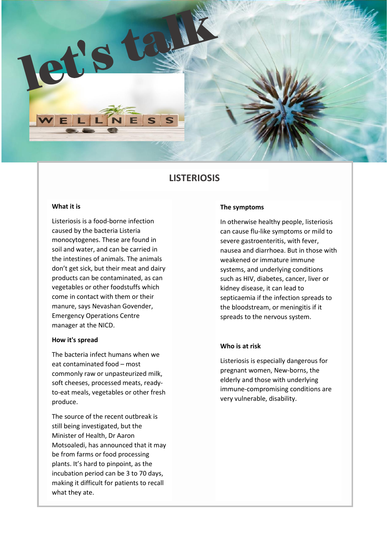

# **LISTERIOSIS**

## **What it is**

Listeriosis is a food-borne infection caused by the bacteria Listeria monocytogenes. These are found in soil and water, and can be carried in the intestines of animals. The animals don't get sick, but their meat and dairy products can be contaminated, as can vegetables or other foodstuffs which come in contact with them or their manure, says Nevashan Govender, Emergency Operations Centre manager at the NICD.

### **How it's spread**

The bacteria infect humans when we eat contaminated food – most commonly raw or unpasteurized milk, soft cheeses, processed meats, readyto-eat meals, vegetables or other fresh produce.

The source of the recent outbreak is still being investigated, but the Minister of Health, Dr Aaron Motsoaledi, has announced that it may be from farms or food processing plants. It's hard to pinpoint, as the incubation period can be 3 to 70 days, making it difficult for patients to recall what they ate.

#### **The symptoms**

In otherwise healthy people, listeriosis can cause flu-like symptoms or mild to severe gastroenteritis, with fever, nausea and diarrhoea. But in those with weakened or immature immune systems, and underlying conditions such as HIV, diabetes, cancer, liver or kidney disease, it can lead to septicaemia if the infection spreads to the bloodstream, or meningitis if it spreads to the nervous system.

#### **Who is at risk**

Listeriosis is especially dangerous for pregnant women, New-borns, the elderly and those with underlying immune-compromising conditions are very vulnerable, disability.